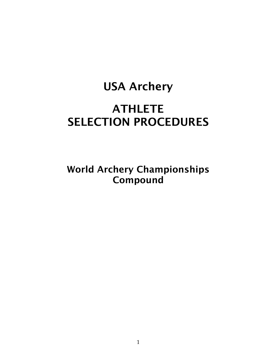# USA Archery **ATHLETE** SELECTION PROCEDURES

World Archery Championships Compound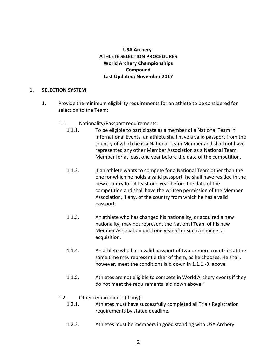# **USA** Archery **ATHLETE SELECTION PROCEDURES World Archery Championships Compound Last Updated: November 2017**

## **1. SELECTION SYSTEM**

- 1. Provide the minimum eligibility requirements for an athlete to be considered for selection to the Team:
	- 1.1. Nationality/Passport requirements:
		- 1.1.1. To be eligible to participate as a member of a National Team in International Events, an athlete shall have a valid passport from the country of which he is a National Team Member and shall not have represented any other Member Association as a National Team Member for at least one year before the date of the competition.
		- 1.1.2. If an athlete wants to compete for a National Team other than the one for which he holds a valid passport, he shall have resided in the new country for at least one year before the date of the competition and shall have the written permission of the Member Association, if any, of the country from which he has a valid passport.
		- 1.1.3. An athlete who has changed his nationality, or acquired a new nationality, may not represent the National Team of his new Member Association until one year after such a change or acquisition.
		- 1.1.4. An athlete who has a valid passport of two or more countries at the same time may represent either of them, as he chooses. He shall, however, meet the conditions laid down in 1.1.1.-3. above.
		- 1.1.5. Athletes are not eligible to compete in World Archery events if they do not meet the requirements laid down above."
	- 1.2. Other requirements (if any):
		- 1.2.1. Athletes must have successfully completed all Trials Registration requirements by stated deadline.
		- 1.2.2. Athletes must be members in good standing with USA Archery.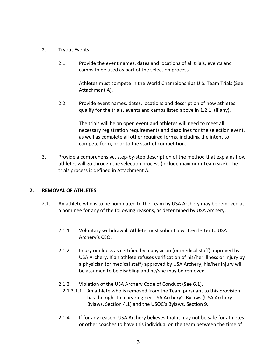- 2. Tryout Events:
	- 2.1. Provide the event names, dates and locations of all trials, events and camps to be used as part of the selection process.

Athletes must compete in the World Championships U.S. Team Trials (See Attachment A).

2.2. Provide event names, dates, locations and description of how athletes qualify for the trials, events and camps listed above in 1.2.1. (if any).

> The trials will be an open event and athletes will need to meet all necessary registration requirements and deadlines for the selection event, as well as complete all other required forms, including the intent to compete form, prior to the start of competition.

3. Provide a comprehensive, step-by-step description of the method that explains how athletes will go through the selection process (include maximum Team size). The trials process is defined in Attachment A.

## **2. REMOVAL OF ATHLETES**

- 2.1. An athlete who is to be nominated to the Team by USA Archery may be removed as a nominee for any of the following reasons, as determined by USA Archery:
	- 2.1.1. Voluntary withdrawal. Athlete must submit a written letter to USA Archery's CEO.
	- 2.1.2. Injury or illness as certified by a physician (or medical staff) approved by USA Archery. If an athlete refuses verification of his/her illness or injury by a physician (or medical staff) approved by USA Archery, his/her injury will be assumed to be disabling and he/she may be removed.
	- 2.1.3. Violation of the USA Archery Code of Conduct (See 6.1).
		- 2.1.3.1.1. An athlete who is removed from the Team pursuant to this provision has the right to a hearing per USA Archery's Bylaws (USA Archery Bylaws, Section 4.1) and the USOC's Bylaws, Section 9.
	- 2.1.4. If for any reason, USA Archery believes that it may not be safe for athletes or other coaches to have this individual on the team between the time of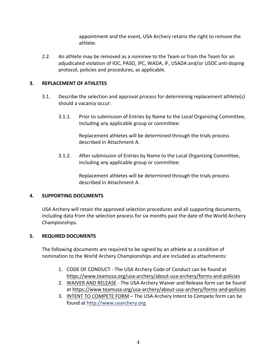appointment and the event, USA Archery retains the right to remove the athlete.

2.2. An athlete may be removed as a nominee to the Team or from the Team for an adjudicated violation of IOC, PASO, IPC, WADA, IF, USADA and/or USOC anti-doping protocol, policies and procedures, as applicable.

## **3. REPLACEMENT OF ATHLETES**

- 3.1. Describe the selection and approval process for determining replacement athlete(s) should a vacancy occur:
	- 3.1.1. Prior to submission of Entries by Name to the Local Organizing Committee, including any applicable group or committee:

Replacement athletes will be determined through the trials process described in Attachment A.

3.1.2. After submission of Entries by Name to the Local Organizing Committee, including any applicable group or committee:

> Replacement athletes will be determined through the trials process described in Attachment A.

## **4. SUPPORTING DOCUMENTS**

USA Archery will retain the approved selection procedures and all supporting documents, including data from the selection process for six months past the date of the World Archery Championships.

## **5. REQUIRED DOCUMENTS**

The following documents are required to be signed by an athlete as a condition of nomination to the World Archery Championships and are included as attachments:

- 1. CODE OF CONDUCT The USA Archery Code of Conduct can be found at https://www.teamusa.org/usa-archery/about-usa-archery/forms-and-policies
- 2. WAIVER AND RELEASE The USA Archery Waiver and Release form can be found at https://www.teamusa.org/usa-archery/about-usa-archery/forms-and-policies
- 3. INTENT TO COMPETE FORM The USA Archery Intent to Compete form can be found at http://www.usarchery.org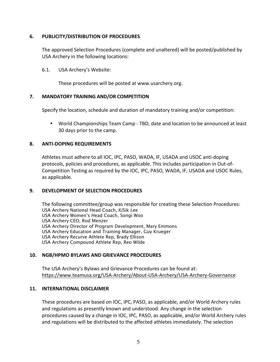## **6. PUBLICITY/DISTRIBUTION OF PROCEDURES**

The approved Selection Procedures (complete and unaltered) will be posted/published by USA Archery in the following locations:

## 6.1. USA Archery's Website:

These procedures will be posted at www.usarchery.org.

## **7. MANDATORY TRAINING AND/OR COMPETITION**

Specify the location, schedule and duration of mandatory training and/or competition:

• World Championships Team Camp - TBD, date and location to be announced at least 30 days prior to the camp.

## **8. ANTI-DOPING REQUIREMENTS**

Athletes must adhere to all IOC, IPC, PASO, WADA, IF, USADA and USOC anti-doping protocols, policies and procedures, as applicable. This includes participation in Out-of-Competition Testing as required by the IOC, IPC, PASO, WADA, IF, USADA and USOC Rules, as applicable.

## **9. DEVELOPMENT OF SELECTION PROCEDURES**

The following committee/group was responsible for creating these Selection Procedures: USA Archery National Head Coach, KiSik Lee USA Archery Women's Head Coach, Songi Woo USA Archery CEO, Rod Menzer USA Archery Director of Program Development, Mary Emmons USA Archery Education and Training Manager, Guy Krueger USA Archery Recurve Athlete Rep, Brady Ellison USA Archery Compound Athlete Rep, Reo Wilde

## **10. NGB/HPMO BYLAWS AND GRIEVANCE PROCEDURES**

The USA Archery's Bylaws and Grievance Procedures can be found at: https://www.teamusa.org/USA-Archery/About-USA-Archery/USA-Archery-Governance

## **11. INTERNATIONAL DISCLAIMER**

These procedures are based on IOC, IPC, PASO, as applicable, and/or World Archery rules and regulations as presently known and understood. Any change in the selection procedures caused by a change in IOC, IPC, PASO, as applicable, and/or World Archery rules and regulations will be distributed to the affected athletes immediately. The selection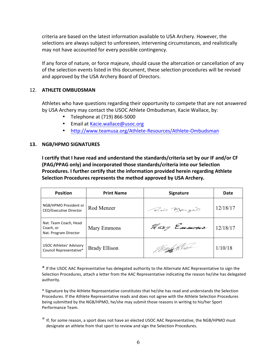criteria are based on the latest information available to USA Archery. However, the selections are always subject to unforeseen, intervening circumstances, and realistically may not have accounted for every possible contingency.

If any force of nature, or force majeure, should cause the altercation or cancellation of any of the selection events listed in this document, these selection procedures will be revised and approved by the USA Archery Board of Directors.

## 12. **ATHLETE OMBUDSMAN**

Athletes who have questions regarding their opportunity to compete that are not answered by USA Archery may contact the USOC Athlete Ombudsman, Kacie Wallace, by:

- Telephone at (719) 866-5000
- Email at Kacie.wallace@usoc.org
- http://www.teamusa.org/Athlete-Resources/Athlete-Ombudsman

## **13. NGB/HPMO SIGNATURES**

**I certify that I have read and understand the standards/criteria set by our IF and/or CF (PAG/PPAG only) and incorporated those standards/criteria into our Selection Procedures. I further certify that the information provided herein regarding Athlete Selection Procedures represents the method approved by USA Archery.**

| <b>Position</b>                                             | <b>Print Name</b>    | <b>Signature</b>            | Date     |
|-------------------------------------------------------------|----------------------|-----------------------------|----------|
| NGB/HPMO President or<br>CEO/Executive Director             | Rod Menzer           | Row Marger                  | 12/18/17 |
| Nat. Team Coach, Head<br>Coach, or<br>Nat. Program Director | Mary Emmons          | Mary Emmons 12/18/17        |          |
| USOC Athletes' Advisory<br>Council Representative*          | <b>Brady Ellison</b> | <i>Berg</i> an Nis <i>a</i> | 1/10/18  |

\* If the USOC AAC Representative has delegated authority to the Alternate AAC Representative to sign the Selection Procedures, attach a letter from the AAC Representative indicating the reason he/she has delegated authority.

\* Signature by the Athlete Representative constitutes that he/she has read and understands the Selection Procedures. If the Athlete Representative reads and does not agree with the Athlete Selection Procedures being submitted by the NGB/HPMO, he/she may submit those reasons in writing to his/her Sport Performance Team.

\* If, for some reason, a sport does not have an elected USOC AAC Representative, the NGB/HPMO must designate an athlete from that sport to review and sign the Selection Procedures.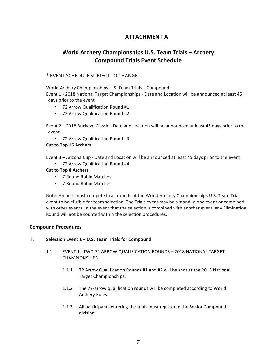# **ATTACHMENT A**

# **World Archery Championships U.S. Team Trials – Archery Compound Trials Event Schedule**

## \* EVENT SCHEDULE SUBJECT TO CHANGE

World Archery Championships U.S. Team Trials – Compound Event 1 - 2018 National Target Championships - Date and Location will be announced at least 45 days prior to the event

- 72 Arrow Qualification Round #1
- 72 Arrow Qualification Round #2

Event 2 – 2018 Buckeye Classic - Date and Location will be announced at least 45 days prior to the event

• 72 Arrow Qualification Round #3

#### **Cut to Top 16 Archers**

Event 3 – Arizona Cup - Date and Location will be announced at least 45 days prior to the event

• 72 Arrow Qualification Round #4

#### **Cut to Top 8 Archers**

- 7 Round Robin Matches
- 7 Round Robin Matches

Note: Archers must compete in all rounds of the World Archery Championships U.S. Team Trials event to be eligible for team selection. The Trials event may be a stand- alone event or combined with other events. In the event that the selection is combined with another event, any Elimination Round will not be counted within the selection procedures.

#### **Compound Procedures**

#### **1. Selection Event 1 – U.S. Team Trials for Compound**

- 1.1 EVENT 1 TWO 72 ARROW QUALIFICATION ROUNDS 2018 NATIONAL TARGET CHAMPIONSHIPS
	- 1.1.1 72 Arrow Qualification Rounds #1 and #2 will be shot at the 2018 National Target Championships.
	- 1.1.2 The 72-arrow qualification rounds will be completed according to World Archery Rules.
	- 1.1.3 All participants entering the trials must register in the Senior Compound division.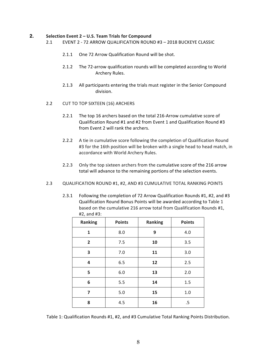#### **2. Selection Event 2 – U.S. Team Trials for Compound**

- 2.1 EVENT 2 72 ARROW QUALIFICATION ROUND #3 2018 BUCKEYE CLASSIC
	- 2.1.1 One 72 Arrow Qualification Round will be shot.
	- 2.1.2 The 72-arrow qualification rounds will be completed according to World Archery Rules.
	- 2.1.3 All participants entering the trials must register in the Senior Compound division.
- 2.2 CUT TO TOP SIXTEEN (16) ARCHERS
	- 2.2.1 The top 16 archers based on the total 216-Arrow cumulative score of Qualification Round #1 and #2 from Event 1 and Qualification Round #3 from Event 2 will rank the archers.
	- 2.2.2 A tie in cumulative score following the completion of Qualification Round #3 for the 16th position will be broken with a single head to head match, in accordance with World Archery Rules.
	- 2.2.3 Only the top sixteen archers from the cumulative score of the 216 arrow total will advance to the remaining portions of the selection events.
- 2.3 QUALIFICATION ROUND #1, #2, AND #3 CUMULATIVE TOTAL RANKING POINTS
	- Qualification Round Bonus Points will be awarded according to Table 1 based on the cumulative 216 arrow total from Qualification Rounds #1, #2, and #3: **Ranking Points Ranking Points**

2.3.1 Following the completion of 72 Arrow Qualification Rounds #1, #2, and #3

| Ranking        | <b>Points</b> | Ranking | <b>Points</b> |
|----------------|---------------|---------|---------------|
| 1              | 8.0           | 9       | 4.0           |
| $\overline{2}$ | 7.5           | 10      | 3.5           |
| 3              | 7.0           | 11      | 3.0           |
| 4              | 6.5           | 12      | 2.5           |
| 5              | 6.0           | 13      | 2.0           |
| 6              | 5.5           | 14      | 1.5           |
| 7              | 5.0           | 15      | 1.0           |
| 8              | 4.5           | 16      | .5            |

Table 1: Qualification Rounds #1, #2, and #3 Cumulative Total Ranking Points Distribution.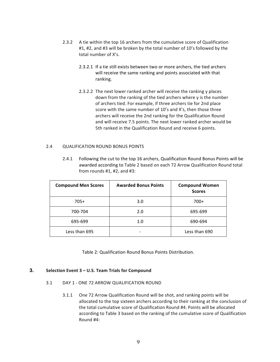- 2.3.2 A tie within the top 16 archers from the cumulative score of Qualification #1, #2, and #3 will be broken by the total number of 10's followed by the total number of X's.
	- 2.3.2.1 If a tie still exists between two or more archers, the tied archers will receive the same ranking and points associated with that ranking.
	- 2.3.2.2 The next lower ranked archer will receive the ranking y places down from the ranking of the tied archers where y is the number of archers tied. For example, if three archers tie for 2nd place score with the same number of 10's and X's, then those three archers will receive the 2nd ranking for the Qualification Round and will receive 7.5 points. The next lower ranked archer would be 5th ranked in the Qualification Round and receive 6 points.

#### 2.4 QUALIFICATION ROUND BONUS POINTS

2.4.1 Following the cut to the top 16 archers, Qualification Round Bonus Points will be awarded according to Table 2 based on each 72 Arrow Qualification Round total from rounds #1, #2, and #3:

| <b>Compound Men Scores</b> | <b>Awarded Bonus Points</b> | <b>Compound Women</b><br><b>Scores</b> |
|----------------------------|-----------------------------|----------------------------------------|
| $705+$                     | 3.0                         | $700+$                                 |
| 700-704                    | 2.0                         | 695-699                                |
| 695-699                    | 1.0                         | 690-694                                |
| Less than 695              |                             | Less than 690                          |

Table 2: Qualification Round Bonus Points Distribution.

#### **3. Selection Event 3 – U.S. Team Trials for Compound**

- 3.1 DAY 1 ONE 72 ARROW QUALIFICATION ROUND
	- 3.1.1 One 72 Arrow Qualification Round will be shot, and ranking points will be allocated to the top sixteen archers according to their ranking at the conclusion of the total cumulative score of Qualification Round #4. Points will be allocated according to Table 3 based on the ranking of the cumulative score of Qualification Round #4: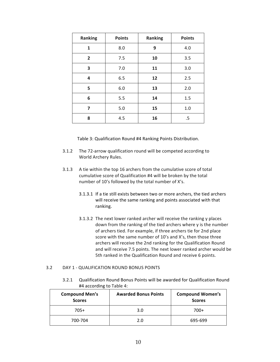| <b>Ranking</b> | <b>Points</b> | <b>Ranking</b> | <b>Points</b> |
|----------------|---------------|----------------|---------------|
| 1              | 8.0           | 9              | 4.0           |
| $\overline{2}$ | 7.5           | 10             | 3.5           |
| 3              | 7.0           | 11             | 3.0           |
| 4              | 6.5           | 12             | 2.5           |
| 5              | 6.0           | 13             | 2.0           |
| 6              | 5.5           | 14             | 1.5           |
| 7              | 5.0           | 15             | 1.0           |
| 8              | 4.5           | 16             | .5            |

Table 3: Qualification Round #4 Ranking Points Distribution.

- 3.1.2 The 72-arrow qualification round will be competed according to World Archery Rules.
- 3.1.3 A tie within the top 16 archers from the cumulative score of total cumulative score of Qualification #4 will be broken by the total number of 10's followed by the total number of X's.
	- 3.1.3.1 If a tie still exists between two or more archers, the tied archers will receive the same ranking and points associated with that ranking.
	- 3.1.3.2 The next lower ranked archer will receive the ranking y places down from the ranking of the tied archers where y is the number of archers tied. For example, if three archers tie for 2nd place score with the same number of 10's and X's, then those three archers will receive the 2nd ranking for the Qualification Round and will receive 7.5 points. The next lower ranked archer would be 5th ranked in the Qualification Round and receive 6 points.

#### 3.2 DAY 1 - QUALIFICATION ROUND BONUS POINTS

3.2.1 Qualification Round Bonus Points will be awarded for Qualification Round #4 according to Table 4:

| <b>Compound Men's</b><br><b>Scores</b> | <b>Awarded Bonus Points</b> | <b>Compound Women's</b><br><b>Scores</b> |
|----------------------------------------|-----------------------------|------------------------------------------|
| $705+$                                 | 3.0                         | $700+$                                   |
| 700-704                                | 2.0                         | 695-699                                  |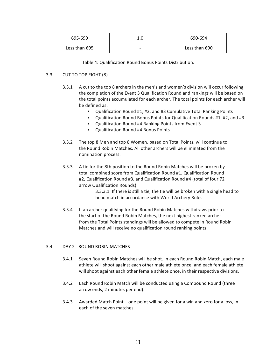| 695-699       | 1.0 | 690-694       |
|---------------|-----|---------------|
| Less than 695 | -   | Less than 690 |

Table 4: Qualification Round Bonus Points Distribution.

#### 3.3 CUT TO TOP EIGHT (8)

- 3.3.1 A cut to the top 8 archers in the men's and women's division will occur following the completion of the Event 3 Qualification Round and rankings will be based on the total points accumulated for each archer. The total points for each archer will be defined as:
	- Qualification Round #1, #2, and #3 Cumulative Total Ranking Points
	- Qualification Round Bonus Points for Qualification Rounds #1, #2, and #3
	- Qualification Round #4 Ranking Points from Event 3
	- Qualification Round #4 Bonus Points
- 3.3.2 The top 8 Men and top 8 Women, based on Total Points, will continue to the Round Robin Matches. All other archers will be eliminated from the nomination process.
- 3.3.3 A tie for the 8th position to the Round Robin Matches will be broken by total combined score from Qualification Round #1, Qualification Round #2, Qualification Round #3, and Qualification Round #4 (total of four 72 arrow Qualification Rounds).

3.3.3.1 If there is still a tie, the tie will be broken with a single head to head match in accordance with World Archery Rules.

3.3.4 If an archer qualifying for the Round Robin Matches withdraws prior to the start of the Round Robin Matches, the next highest ranked archer from the Total Points standings will be allowed to compete in Round Robin Matches and will receive no qualification round ranking points.

#### 3.4 DAY 2 - ROUND ROBIN MATCHES

- 3.4.1 Seven Round Robin Matches will be shot. In each Round Robin Match, each male athlete will shoot against each other male athlete once, and each female athlete will shoot against each other female athlete once, in their respective divisions.
- 3.4.2 Each Round Robin Match will be conducted using a Compound Round (three arrow ends, 2 minutes per end).
- 3.4.3 Awarded Match Point one point will be given for a win and zero for a loss, in each of the seven matches.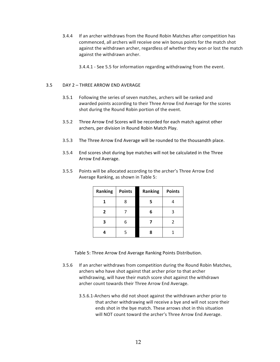- 3.4.4 If an archer withdraws from the Round Robin Matches after competition has commenced, all archers will receive one win bonus points for the match shot against the withdrawn archer, regardless of whether they won or lost the match against the withdrawn archer.
	- 3.4.4.1 See 5.5 for information regarding withdrawing from the event.

#### 3.5 DAY 2 – THREE ARROW END AVERAGE

- 3.5.1 Following the series of seven matches, archers will be ranked and awarded points according to their Three Arrow End Average for the scores shot during the Round Robin portion of the event.
- 3.5.2 Three Arrow End Scores will be recorded for each match against other archers, per division in Round Robin Match Play.
- 3.5.3 The Three Arrow End Average will be rounded to the thousandth place.
- 3.5.4 End scores shot during bye matches will not be calculated in the Three Arrow End Average.
- 3.5.5 Points will be allocated according to the archer's Three Arrow End Average Ranking, as shown in Table 5:

| Ranking        | <b>Points</b> | <b>Ranking</b> | <b>Points</b> |
|----------------|---------------|----------------|---------------|
| 1              | ጸ             | 5              |               |
| $\overline{2}$ |               | 6              | 3             |
| 3              |               |                | 2             |
|                | 5             | 8              |               |

Table 5: Three Arrow End Average Ranking Points Distribution.

- 3.5.6 If an archer withdraws from competition during the Round Robin Matches, archers who have shot against that archer prior to that archer withdrawing, will have their match score shot against the withdrawn archer count towards their Three Arrow End Average.
	- 3.5.6.1-Archers who did not shoot against the withdrawn archer prior to that archer withdrawing will receive a bye and will not score their ends shot in the bye match. These arrows shot in this situation will NOT count toward the archer's Three Arrow End Average.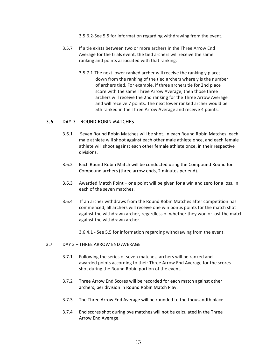3.5.6.2-See 5.5 for information regarding withdrawing from the event.

- 3.5.7 If a tie exists between two or more archers in the Three Arrow End Average for the trials event, the tied archers will receive the same ranking and points associated with that ranking.
	- 3.5.7.1-The next lower ranked archer will receive the ranking y places down from the ranking of the tied archers where y is the number of archers tied. For example, if three archers tie for 2nd place score with the same Three Arrow Average, then those three archers will receive the 2nd ranking for the Three Arrow Average and will receive 7 points. The next lower ranked archer would be 5th ranked in the Three Arrow Average and receive 4 points.

## 3.6 DAY 3 - ROUND ROBIN MATCHES

- 3.6.1 Seven Round Robin Matches will be shot. In each Round Robin Matches, each male athlete will shoot against each other male athlete once, and each female athlete will shoot against each other female athlete once, in their respective divisions.
- 3.6.2 Each Round Robin Match will be conducted using the Compound Round for Compound archers (three arrow ends, 2 minutes per end).
- 3.6.3 Awarded Match Point one point will be given for a win and zero for a loss, in each of the seven matches.
- 3.6.4 If an archer withdraws from the Round Robin Matches after competition has commenced, all archers will receive one win bonus points for the match shot against the withdrawn archer, regardless of whether they won or lost the match against the withdrawn archer.

3.6.4.1 - See 5.5 for information regarding withdrawing from the event.

#### 3.7 DAY 3 – THREE ARROW END AVERAGE

- 3.7.1 Following the series of seven matches, archers will be ranked and awarded points according to their Three Arrow End Average for the scores shot during the Round Robin portion of the event.
- 3.7.2 Three Arrow End Scores will be recorded for each match against other archers, per division in Round Robin Match Play.
- 3.7.3 The Three Arrow End Average will be rounded to the thousandth place.
- 3.7.4 End scores shot during bye matches will not be calculated in the Three Arrow End Average.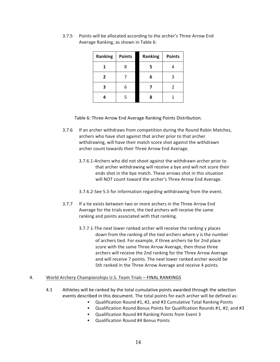| Ranking        | <b>Points</b> | Ranking | <b>Points</b> |
|----------------|---------------|---------|---------------|
|                | 8             | 5       |               |
| $\overline{2}$ |               | 6       | ς             |
|                | 6             |         | 2             |
|                | 5             |         |               |

3.7.5 Points will be allocated according to the archer's Three Arrow End Average Ranking, as shown in Table 6:

Table 6: Three Arrow End Average Ranking Points Distribution.

- 3.7.6 If an archer withdraws from competition during the Round Robin Matches, archers who have shot against that archer prior to that archer withdrawing, will have their match score shot against the withdrawn archer count towards their Three Arrow End Average.
	- 3.7.6.1-Archers who did not shoot against the withdrawn archer prior to that archer withdrawing will receive a bye and will not score their ends shot in the bye match. These arrows shot in this situation will NOT count toward the archer's Three Arrow End Average.
	- 3.7.6.2-See 5.5 for information regarding withdrawing from the event.
- 3.7.7 If a tie exists between two or more archers in the Three Arrow End Average for the trials event, the tied archers will receive the same ranking and points associated with that ranking.
	- 3.7.7.1-The next lower ranked archer will receive the ranking y places down from the ranking of the tied archers where y is the number of archers tied. For example, if three archers tie for 2nd place score with the same Three Arrow Average, then those three archers will receive the 2nd ranking for the Three Arrow Average and will receive 7 points. The next lower ranked archer would be 5th ranked in the Three Arrow Average and receive 4 points.

#### 4. World Archery Championships U.S. Team Trials – FINAL RANKINGS

- 4.1 Athletes will be ranked by the total cumulative points awarded through the selection events described in this document. The total points for each archer will be defined as:
	- Qualification Round #1, #2, and #3 Cumulative Total Ranking Points
	- Qualification Round Bonus Points for Qualification Rounds #1, #2, and #3
	- Qualification Round #4 Ranking Points from Event 3
	- Qualification Round #4 Bonus Points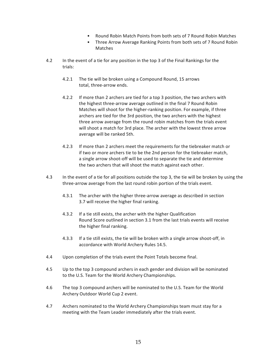- Round Robin Match Points from both sets of 7 Round Robin Matches
- Three Arrow Average Ranking Points from both sets of 7 Round Robin Matches
- 4.2 In the event of a tie for any position in the top 3 of the Final Rankings for the trials:
	- 4.2.1 The tie will be broken using a Compound Round, 15 arrows total, three-arrow ends.
	- 4.2.2 If more than 2 archers are tied for a top 3 position, the two archers with the highest three-arrow average outlined in the final 7 Round Robin Matches will shoot for the higher-ranking position. For example, if three archers are tied for the 3rd position, the two archers with the highest three arrow average from the round robin matches from the trials event will shoot a match for 3rd place. The archer with the lowest three arrow average will be ranked 5th.
	- 4.2.3 If more than 2 archers meet the requirements for the tiebreaker match or if two or more archers tie to be the 2nd person for the tiebreaker match, a single arrow shoot-off will be used to separate the tie and determine the two archers that will shoot the match against each other.
- 4.3 In the event of a tie for all positions outside the top 3, the tie will be broken by using the three-arrow average from the last round robin portion of the trials event.
	- 4.3.1 The archer with the higher three-arrow average as described in section 3.7 will receive the higher final ranking.
	- 4.3.2 If a tie still exists, the archer with the higher Qualification Round Score outlined in section 3.1 from the last trials events will receive the higher final ranking.
	- 4.3.3 If a tie still exists, the tie will be broken with a single arrow shoot-off, in accordance with World Archery Rules 14.5.
- 4.4 Upon completion of the trials event the Point Totals become final.
- 4.5 Up to the top 3 compound archers in each gender and division will be nominated to the U.S. Team for the World Archery Championships.
- 4.6 The top 3 compound archers will be nominated to the U.S. Team for the World Archery Outdoor World Cup 2 event.
- 4.7 Archers nominated to the World Archery Championships team must stay for a meeting with the Team Leader immediately after the trials event.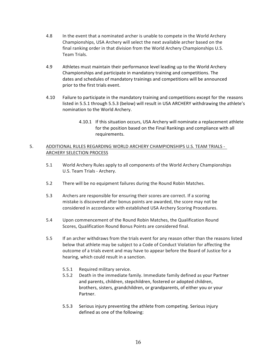- 4.8 In the event that a nominated archer is unable to compete in the World Archery Championships, USA Archery will select the next available archer based on the final ranking order in that division from the World Archery Championships U.S. Team Trials.
- 4.9 Athletes must maintain their performance level leading up to the World Archery Championships and participate in mandatory training and competitions. The dates and schedules of mandatory trainings and competitions will be announced prior to the first trials event.
- 4.10 Failure to participate in the mandatory training and competitions except for the reasons listed in 5.5.1 through 5.5.3 (below) will result in USA ARCHERY withdrawing the athlete's nomination to the World Archery.
	- 4.10.1 If this situation occurs, USA Archery will nominate a replacement athlete for the position based on the Final Rankings and compliance with all requirements.

## 5. ADDITIONAL RULES REGARDING WORLD ARCHERY CHAMPIONSHIPS U.S. TEAM TRIALS - ARCHERY SELECTION PROCESS

- 5.1 World Archery Rules apply to all components of the World Archery Championships U.S. Team Trials - Archery.
- 5.2 There will be no equipment failures during the Round Robin Matches.
- 5.3 Archers are responsible for ensuring their scores are correct. If a scoring mistake is discovered after bonus points are awarded, the score may not be considered in accordance with established USA Archery Scoring Procedures.
- 5.4 Upon commencement of the Round Robin Matches, the Qualification Round Scores, Qualification Round Bonus Points are considered final.
- 5.5 If an archer withdraws from the trials event for any reason other than the reasons listed below that athlete may be subject to a Code of Conduct Violation for affecting the outcome of a trials event and may have to appear before the Board of Justice for a hearing, which could result in a sanction.
	- 5.5.1 Required military service.
	- 5.5.2 Death in the immediate family. Immediate family defined as your Partner and parents, children, stepchildren, fostered or adopted children, brothers, sisters, grandchildren, or grandparents, of either you or your Partner.
	- 5.5.3 Serious injury preventing the athlete from competing. Serious injury defined as one of the following: